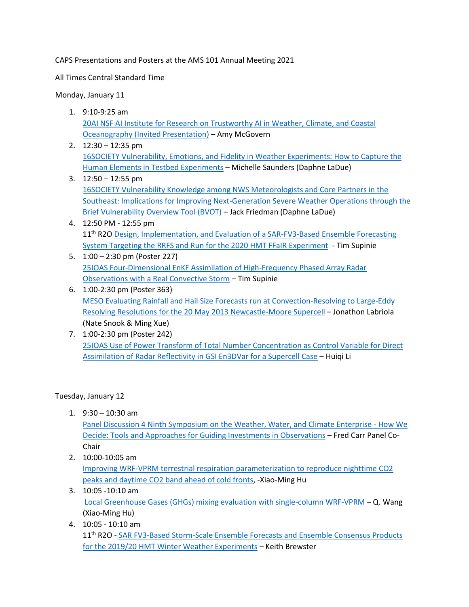CAPS Presentations and Posters at the AMS 101 Annual Meeting 2021

All Times Central Standard Time

Monday, January 11

- 1. 9:10-9:25 am 20AI [NSF AI Institute for Research on Trustworthy AI in Weather, Climate, and Coastal](https://ams.confex.com/ams/101ANNUAL/meetingapp.cgi/Paper/384138)  [Oceanography \(Invited Presentation\)](https://ams.confex.com/ams/101ANNUAL/meetingapp.cgi/Paper/384138) – Amy McGovern
- 2. 12:30 12:35 pm 16SOCIETY [Vulnerability, Emotions, and Fidelity in Weather Experiments: How to Capture the](https://ams.confex.com/ams/101ANNUAL/meetingapp.cgi/Paper/383933)  [Human Elements in Testbed Experiments](https://ams.confex.com/ams/101ANNUAL/meetingapp.cgi/Paper/383933) – Michelle Saunders (Daphne LaDue)
- 3. 12:50 12:55 pm 16SOCIETY Vulnerability Knowledge [among NWS Meteorologists and Core Partners in the](https://ams.confex.com/ams/101ANNUAL/meetingapp.cgi/Paper/383893)  [Southeast: Implications for Improving Next-Generation Severe Weather Operations through the](https://ams.confex.com/ams/101ANNUAL/meetingapp.cgi/Paper/383893)  [Brief Vulnerability Overview Tool \(BVOT\)](https://ams.confex.com/ams/101ANNUAL/meetingapp.cgi/Paper/383893) – Jack Friedman (Daphne LaDue)
- 4. 12:50 PM 12:55 pm 11<sup>th</sup> R2O Design, Implementation, and Evaluation of a SAR-FV3-Based Ensemble Forecasting [System Targeting the RRFS and Run for the 2020 HMT FFaIR Experiment](https://ams.confex.com/ams/101ANNUAL/meetingapp.cgi/Paper/383465) - Tim Supinie
- 5. 1:00 2:30 pm (Poster 227) 25IOAS [Four-Dimensional EnKF Assimilation of High-Frequency Phased Array Radar](https://ams.confex.com/ams/101ANNUAL/meetingapp.cgi/Paper/383776)  [Observations with a Real Convective Storm](https://ams.confex.com/ams/101ANNUAL/meetingapp.cgi/Paper/383776) – Tim Supinie
- 6. 1:00-2:30 pm (Poster 363) MESO [Evaluating Rainfall and Hail Size Forecasts run at Convection-Resolving to Large-Eddy](https://ams.confex.com/ams/101ANNUAL/meetingapp.cgi/Paper/383513)  [Resolving Resolutions for the 20 May 2013 Newcastle-Moore Supercell](https://ams.confex.com/ams/101ANNUAL/meetingapp.cgi/Paper/383513) – Jonathon Labriola (Nate Snook & Ming Xue)
- 7. 1:00-2:30 pm (Poster 242) 25IOAS [Use of Power Transform of Total Number Concentration as Control Variable for Direct](https://ams.confex.com/ams/101ANNUAL/meetingapp.cgi/Paper/383264)  [Assimilation of Radar Reflectivity in GSI En3DVar for a Supercell Case](https://ams.confex.com/ams/101ANNUAL/meetingapp.cgi/Paper/383264) – Huiqi Li

Tuesday, January 12

1.  $9:30 - 10:30$  am

Panel Discussion 4 [Ninth Symposium on the Weather, Water, and Climate Enterprise](https://urldefense.proofpoint.com/v2/url?u=https-3A__ams.confex.com_ams_101ANNUAL_meetingapp.cgi_Session_56306&d=DwMFaQ&c=qKdtBuuu6dQK9MsRUVJ2DPXW6oayO8fu4TfEHS8sGNk&r=qpD6eFNsuts5fNcy6Y2bKw&m=-qpqGOgErKqhqQXb0Rv9LywJo7KewtDVnlPAv1O_Nfo&s=aO8SX8sCxCDUtyWcUghK4wBXQROH1pebWF2mKEDWe80&e=) - How We [Decide: Tools and Approaches for Guiding](https://urldefense.proofpoint.com/v2/url?u=https-3A__ams.confex.com_ams_101ANNUAL_meetingapp.cgi_Session_56306&d=DwMFaQ&c=qKdtBuuu6dQK9MsRUVJ2DPXW6oayO8fu4TfEHS8sGNk&r=qpD6eFNsuts5fNcy6Y2bKw&m=-qpqGOgErKqhqQXb0Rv9LywJo7KewtDVnlPAv1O_Nfo&s=aO8SX8sCxCDUtyWcUghK4wBXQROH1pebWF2mKEDWe80&e=) Investments in Observations – Fred Carr Panel Co-Chair

2. 10:00-10:05 am

[Improving WRF-VPRM terrestrial respiration parameterization to reproduce nighttime CO2](https://ams.confex.com/ams/101ANNUAL/meetingapp.cgi/Paper/381514)  peaks and daytime [CO2 band ahead of cold fronts,](https://ams.confex.com/ams/101ANNUAL/meetingapp.cgi/Paper/381514) -Xiao-Ming Hu

- 3. 10:05 -10:10 am [Local Greenhouse Gases \(GHGs\) mixing evaluation with single-column WRF-VPRM](https://ams.confex.com/ams/101ANNUAL/meetingapp.cgi/Paper/380749) – Q. Wang (Xiao-Ming Hu)
- 4. 10:05 10:10 am 11<sup>th</sup> R2O - SAR FV3-Based Storm-Scale Ensemble Forecasts and Ensemble Consensus Products [for the 2019/20 HMT Winter Weather Experiments](https://ams.confex.com/ams/101ANNUAL/meetingapp.cgi/Paper/383251) - Keith Brewster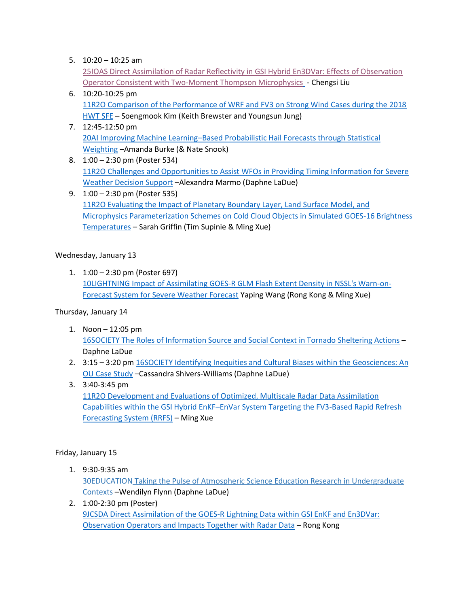5.  $10:20 - 10:25$  am

25IOAS [Direct Assimilation of Radar Reflectivity in GSI Hybrid En3DVar: Effects of Observation](https://ams.confex.com/ams/101ANNUAL/meetingapp.cgi/Paper/383475)  [Operator Consistent with Two-Moment Thompson Microphysics](https://ams.confex.com/ams/101ANNUAL/meetingapp.cgi/Paper/383475) - Chengsi Liu

- 6. 10:20-10:25 pm 11R2O [Comparison of the Performance of WRF and FV3 on Strong Wind Cases during the 2018](https://ams.confex.com/ams/101ANNUAL/meetingapp.cgi/Paper/382018)  [HWT SFE](https://ams.confex.com/ams/101ANNUAL/meetingapp.cgi/Paper/382018) – Soengmook Kim (Keith Brewster and Youngsun Jung)
- 7. 12:45-12:50 pm 20AI Improving Machine Learning–[Based Probabilistic Hail Forecasts through Statistical](https://ams.confex.com/ams/101ANNUAL/meetingapp.cgi/Paper/383903)  [Weighting](https://ams.confex.com/ams/101ANNUAL/meetingapp.cgi/Paper/383903) –Amanda Burke (& Nate Snook)
- 8. 1:00 2:30 pm (Poster 534) 11R2O [Challenges and Opportunities to Assist WFOs in Providing Timing Information for Severe](https://ams.confex.com/ams/101ANNUAL/meetingapp.cgi/Paper/383805)  [Weather Decision Support](https://ams.confex.com/ams/101ANNUAL/meetingapp.cgi/Paper/383805) –Alexandra Marmo (Daphne LaDue)
- 9. 1:00 2:30 pm (Poster 535) 11R2O [Evaluating the Impact of Planetary Boundary Layer, Land Surface Model, and](https://ams.confex.com/ams/101ANNUAL/meetingapp.cgi/Paper/378561)  [Microphysics Parameterization Schemes on Cold Cloud Objects in Simulated GOES-16 Brightness](https://ams.confex.com/ams/101ANNUAL/meetingapp.cgi/Paper/378561)  [Temperatures](https://ams.confex.com/ams/101ANNUAL/meetingapp.cgi/Paper/378561) – Sarah Griffin (Tim Supinie & Ming Xue)

# Wednesday, January 13

1. 1:00 – 2:30 pm (Poster 697) 10LIGHTNING Impact of Assimilating GOES-R [GLM Flash Extent Density in NSSL's Warn-on-](https://ams.confex.com/ams/101ANNUAL/meetingapp.cgi/Paper/382217)[Forecast System for Severe Weather Forecast](https://ams.confex.com/ams/101ANNUAL/meetingapp.cgi/Paper/382217) Yaping Wang (Rong Kong & Ming Xue)

# Thursday, January 14

- 1. Noon 12:05 pm 16SOCIETY [The Roles of Information Source and Social Context in Tornado Sheltering Actions](https://ams.confex.com/ams/101ANNUAL/meetingapp.cgi/Paper/383888) – Daphne LaDue
- 2. 3:15 3:20 pm 16SOCIETY Identifying Inequities and Cultural Biases within the Geosciences: An [OU Case Study](https://ams.confex.com/ams/101ANNUAL/meetingapp.cgi/Paper/380314) –Cassandra Shivers-Williams (Daphne LaDue)
- 3. 3:40-3:45 pm

11R2O [Development and Evaluations of Optimized, Multiscale Radar Data Assimilation](https://ams.confex.com/ams/101ANNUAL/meetingapp.cgi/Paper/384337)  Capabilities within the GSI Hybrid EnKF–[EnVar System Targeting the FV3-Based Rapid Refresh](https://ams.confex.com/ams/101ANNUAL/meetingapp.cgi/Paper/384337)  [Forecasting System \(RRFS\)](https://ams.confex.com/ams/101ANNUAL/meetingapp.cgi/Paper/384337) – Ming Xue

# Friday, January 15

- 1. 9:30-9:35 am 30EDUCATION Taking the Pulse of Atmospheric Science Education Research in [Undergraduate](https://ams.confex.com/ams/101ANNUAL/meetingapp.cgi/Paper/384383) [Contexts](https://ams.confex.com/ams/101ANNUAL/meetingapp.cgi/Paper/384383) –Wendilyn Flynn (Daphne LaDue)
- 2. 1:00-2:30 pm (Poster) 9JCSDA [Direct Assimilation of the GOES-R Lightning Data within GSI EnKF and En3DVar:](https://ams.confex.com/ams/101ANNUAL/meetingapp.cgi/Paper/383032)  [Observation Operators and Impacts Together with Radar Data](https://ams.confex.com/ams/101ANNUAL/meetingapp.cgi/Paper/383032) – Rong Kong